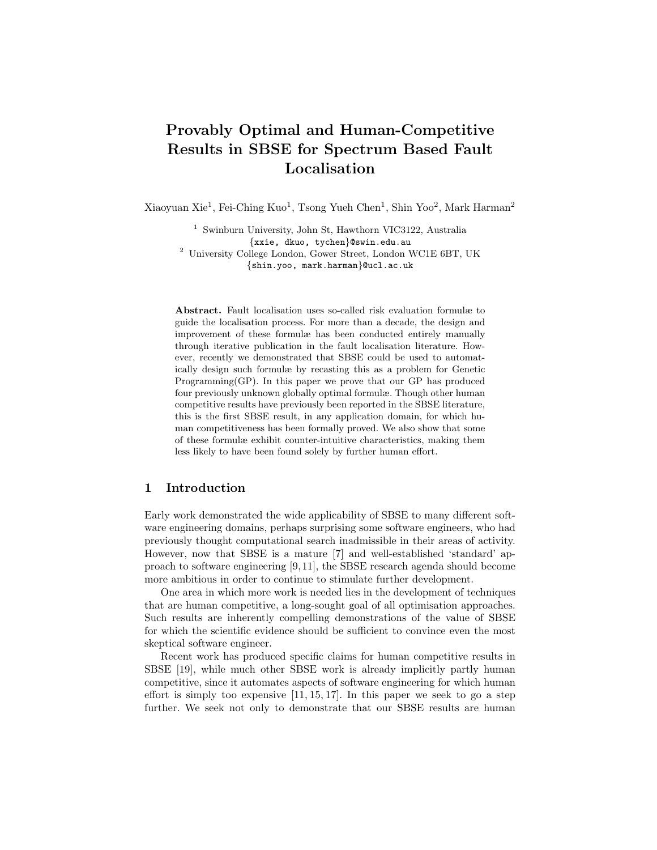# Provably Optimal and Human-Competitive Results in SBSE for Spectrum Based Fault Localisation

Xiaoyuan Xie<sup>1</sup>, Fei-Ching Kuo<sup>1</sup>, Tsong Yueh Chen<sup>1</sup>, Shin Yoo<sup>2</sup>, Mark Harman<sup>2</sup>

<sup>1</sup> Swinburn University, John St, Hawthorn VIC3122, Australia {xxie, dkuo, tychen}@swin.edu.au <sup>2</sup> University College London, Gower Street, London WC1E 6BT, UK

{shin.yoo, mark.harman}@ucl.ac.uk

Abstract. Fault localisation uses so-called risk evaluation formulæ to guide the localisation process. For more than a decade, the design and improvement of these formulæ has been conducted entirely manually through iterative publication in the fault localisation literature. However, recently we demonstrated that SBSE could be used to automatically design such formulæ by recasting this as a problem for Genetic Programming(GP). In this paper we prove that our GP has produced four previously unknown globally optimal formulæ. Though other human competitive results have previously been reported in the SBSE literature, this is the first SBSE result, in any application domain, for which human competitiveness has been formally proved. We also show that some of these formulæ exhibit counter-intuitive characteristics, making them less likely to have been found solely by further human effort.

## 1 Introduction

Early work demonstrated the wide applicability of SBSE to many different software engineering domains, perhaps surprising some software engineers, who had previously thought computational search inadmissible in their areas of activity. However, now that SBSE is a mature [7] and well-established 'standard' approach to software engineering [9, 11], the SBSE research agenda should become more ambitious in order to continue to stimulate further development.

One area in which more work is needed lies in the development of techniques that are human competitive, a long-sought goal of all optimisation approaches. Such results are inherently compelling demonstrations of the value of SBSE for which the scientific evidence should be sufficient to convince even the most skeptical software engineer.

Recent work has produced specific claims for human competitive results in SBSE [19], while much other SBSE work is already implicitly partly human competitive, since it automates aspects of software engineering for which human effort is simply too expensive  $[11, 15, 17]$ . In this paper we seek to go a step further. We seek not only to demonstrate that our SBSE results are human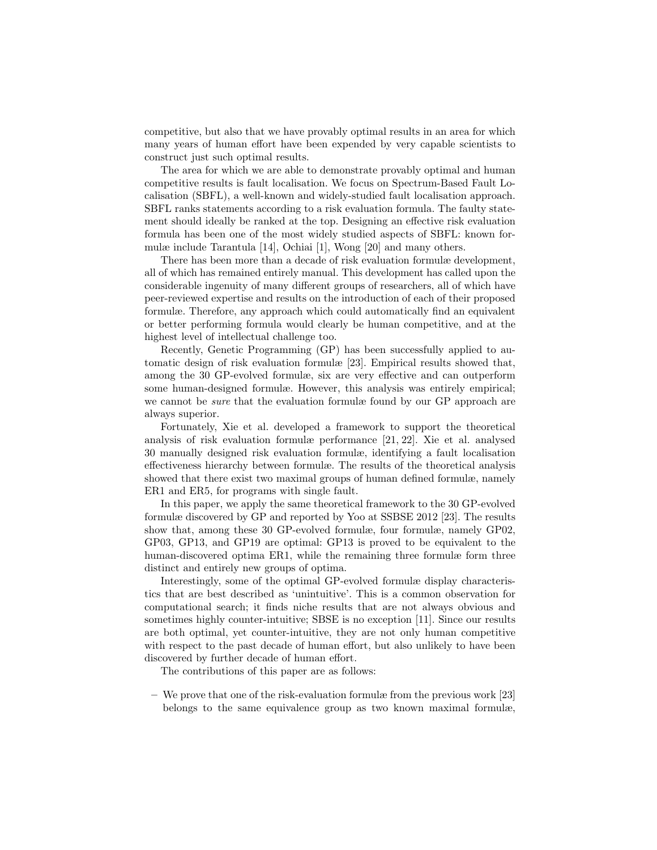competitive, but also that we have provably optimal results in an area for which many years of human effort have been expended by very capable scientists to construct just such optimal results.

The area for which we are able to demonstrate provably optimal and human competitive results is fault localisation. We focus on Spectrum-Based Fault Localisation (SBFL), a well-known and widely-studied fault localisation approach. SBFL ranks statements according to a risk evaluation formula. The faulty statement should ideally be ranked at the top. Designing an effective risk evaluation formula has been one of the most widely studied aspects of SBFL: known formulæ include Tarantula [14], Ochiai [1], Wong [20] and many others.

There has been more than a decade of risk evaluation formulæ development, all of which has remained entirely manual. This development has called upon the considerable ingenuity of many different groups of researchers, all of which have peer-reviewed expertise and results on the introduction of each of their proposed formulæ. Therefore, any approach which could automatically find an equivalent or better performing formula would clearly be human competitive, and at the highest level of intellectual challenge too.

Recently, Genetic Programming (GP) has been successfully applied to automatic design of risk evaluation formulæ [23]. Empirical results showed that, among the 30 GP-evolved formulæ, six are very effective and can outperform some human-designed formulæ. However, this analysis was entirely empirical; we cannot be sure that the evaluation formulæ found by our GP approach are always superior.

Fortunately, Xie et al. developed a framework to support the theoretical analysis of risk evaluation formulæ performance [21, 22]. Xie et al. analysed 30 manually designed risk evaluation formulæ, identifying a fault localisation effectiveness hierarchy between formulæ. The results of the theoretical analysis showed that there exist two maximal groups of human defined formulæ, namely ER1 and ER5, for programs with single fault.

In this paper, we apply the same theoretical framework to the 30 GP-evolved formulæ discovered by GP and reported by Yoo at SSBSE 2012 [23]. The results show that, among these 30 GP-evolved formulæ, four formulæ, namely GP02, GP03, GP13, and GP19 are optimal: GP13 is proved to be equivalent to the human-discovered optima ER1, while the remaining three formulæ form three distinct and entirely new groups of optima.

Interestingly, some of the optimal GP-evolved formulæ display characteristics that are best described as 'unintuitive'. This is a common observation for computational search; it finds niche results that are not always obvious and sometimes highly counter-intuitive; SBSE is no exception [11]. Since our results are both optimal, yet counter-intuitive, they are not only human competitive with respect to the past decade of human effort, but also unlikely to have been discovered by further decade of human effort.

The contributions of this paper are as follows:

– We prove that one of the risk-evaluation formulæ from the previous work [23] belongs to the same equivalence group as two known maximal formulæ,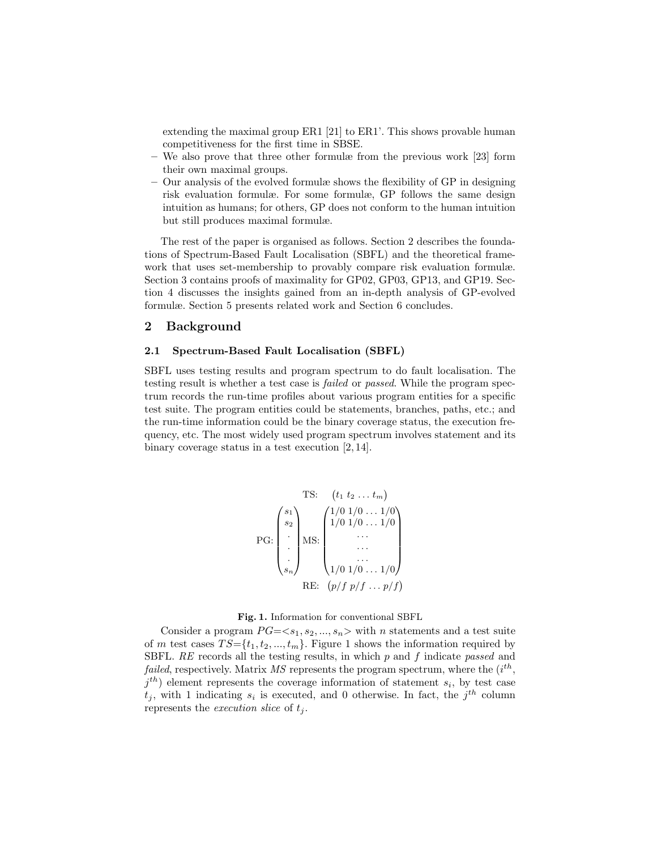extending the maximal group ER1 [21] to ER1'. This shows provable human competitiveness for the first time in SBSE.

- We also prove that three other formulæ from the previous work [23] form their own maximal groups.
- Our analysis of the evolved formulæ shows the flexibility of GP in designing risk evaluation formulæ. For some formulæ, GP follows the same design intuition as humans; for others, GP does not conform to the human intuition but still produces maximal formulæ.

The rest of the paper is organised as follows. Section 2 describes the foundations of Spectrum-Based Fault Localisation (SBFL) and the theoretical framework that uses set-membership to provably compare risk evaluation formulæ. Section 3 contains proofs of maximality for GP02, GP03, GP13, and GP19. Section 4 discusses the insights gained from an in-depth analysis of GP-evolved formulæ. Section 5 presents related work and Section 6 concludes.

## 2 Background

#### 2.1 Spectrum-Based Fault Localisation (SBFL)

SBFL uses testing results and program spectrum to do fault localisation. The testing result is whether a test case is failed or passed. While the program spectrum records the run-time profiles about various program entities for a specific test suite. The program entities could be statements, branches, paths, etc.; and the run-time information could be the binary coverage status, the execution frequency, etc. The most widely used program spectrum involves statement and its binary coverage status in a test execution [2, 14].

TS: 
$$
(t_1 \ t_2 \dots t_m)
$$
  
\nPG:  $\begin{pmatrix} s_1 \\ s_2 \\ \vdots \\ s_n \end{pmatrix}$  MS:  $\begin{pmatrix} 1/0 & 1/0 & \dots & 1/0 \\ 1/0 & 1/0 & \dots & 1/0 \\ \dots & \dots & \dots & \dots \\ 1/0 & 1/0 & \dots & 1/0 \end{pmatrix}$   
\nRE:  $(p/f \ p/f \dots p/f)$ 

#### Fig. 1. Information for conventional SBFL

Consider a program  $PG=\langle s_1, s_2, ..., s_n \rangle$  with n statements and a test suite of m test cases  $TS = \{t_1, t_2, ..., t_m\}$ . Figure 1 shows the information required by SBFL. RE records all the testing results, in which p and f indicate passed and failed, respectively. Matrix  $MS$  represents the program spectrum, where the  $(i<sup>th</sup>$ ,  $j<sup>th</sup>$ ) element represents the coverage information of statement  $s<sub>i</sub>$ , by test case  $t_j$ , with 1 indicating  $s_i$  is executed, and 0 otherwise. In fact, the  $j<sup>th</sup>$  column represents the *execution slice* of  $t_i$ .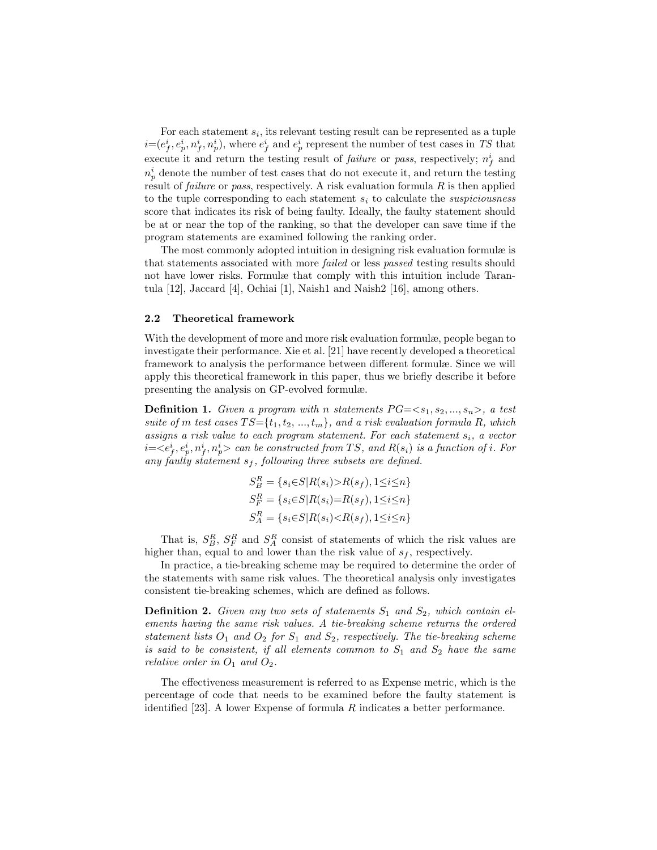For each statement  $s_i$ , its relevant testing result can be represented as a tuple  $i=(e_f^i, e_p^i, n_f^i, n_p^i)$ , where  $e_f^i$  and  $e_p^i$  represent the number of test cases in TS that execute it and return the testing result of *failure* or *pass*, respectively;  $n_f^i$  and  $n_p^i$  denote the number of test cases that do not execute it, and return the testing result of *failure* or *pass*, respectively. A risk evaluation formula  $R$  is then applied to the tuple corresponding to each statement  $s_i$  to calculate the *suspiciousness* score that indicates its risk of being faulty. Ideally, the faulty statement should be at or near the top of the ranking, so that the developer can save time if the program statements are examined following the ranking order.

The most commonly adopted intuition in designing risk evaluation formulæ is that statements associated with more failed or less passed testing results should not have lower risks. Formulæ that comply with this intuition include Tarantula [12], Jaccard [4], Ochiai [1], Naish1 and Naish2 [16], among others.

#### 2.2 Theoretical framework

With the development of more and more risk evaluation formulæ, people began to investigate their performance. Xie et al. [21] have recently developed a theoretical framework to analysis the performance between different formulæ. Since we will apply this theoretical framework in this paper, thus we briefly describe it before presenting the analysis on GP-evolved formulæ.

**Definition 1.** Given a program with n statements  $PG = \langle s_1, s_2, ..., s_n \rangle$ , a test suite of m test cases  $TS = \{t_1, t_2, ..., t_m\}$ , and a risk evaluation formula R, which assigns a risk value to each program statement. For each statement  $s_i$ , a vector  $i = <\! e_f^i, e_p^i, n_f^i, n_p^i \!>$  can be constructed from TS, and  $R(s_i)$  is a function of i. For any faulty statement  $s_f$ , following three subsets are defined.

$$
S_B^R = \{ s_i \in S | R(s_i) > R(s_f), 1 \le i \le n \}
$$
  
\n
$$
S_F^R = \{ s_i \in S | R(s_i) = R(s_f), 1 \le i \le n \}
$$
  
\n
$$
S_A^R = \{ s_i \in S | R(s_i) < R(s_f), 1 \le i \le n \}
$$

That is,  $S_R^R$ ,  $S_F^R$  and  $S_A^R$  consist of statements of which the risk values are higher than, equal to and lower than the risk value of  $s_f$ , respectively.

In practice, a tie-breaking scheme may be required to determine the order of the statements with same risk values. The theoretical analysis only investigates consistent tie-breaking schemes, which are defined as follows.

**Definition 2.** Given any two sets of statements  $S_1$  and  $S_2$ , which contain elements having the same risk values. A tie-breaking scheme returns the ordered statement lists  $O_1$  and  $O_2$  for  $S_1$  and  $S_2$ , respectively. The tie-breaking scheme is said to be consistent, if all elements common to  $S_1$  and  $S_2$  have the same relative order in  $O_1$  and  $O_2$ .

The effectiveness measurement is referred to as Expense metric, which is the percentage of code that needs to be examined before the faulty statement is identified  $[23]$ . A lower Expense of formula R indicates a better performance.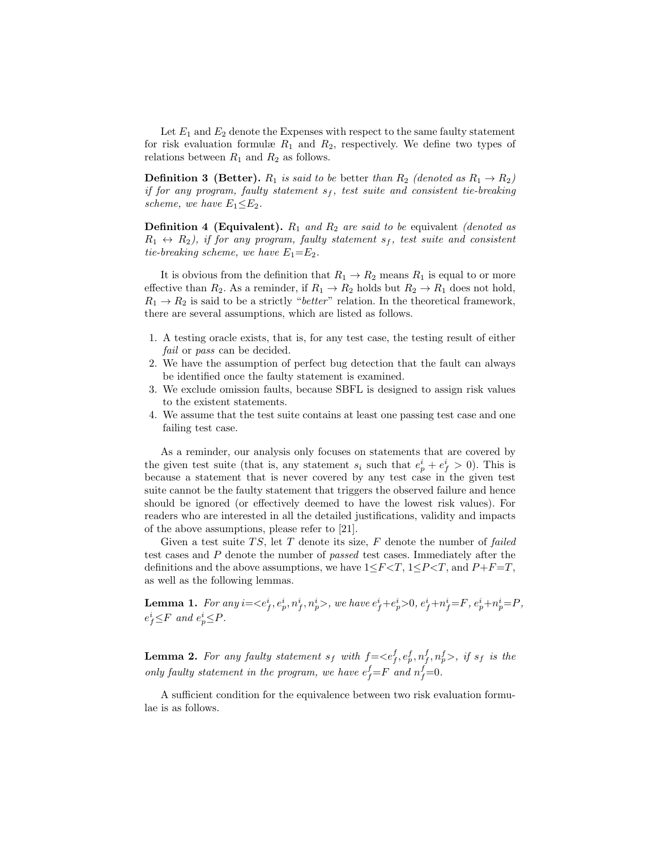Let  $E_1$  and  $E_2$  denote the Expenses with respect to the same faulty statement for risk evaluation formulæ  $R_1$  and  $R_2$ , respectively. We define two types of relations between  $R_1$  and  $R_2$  as follows.

**Definition 3 (Better).**  $R_1$  is said to be better than  $R_2$  (denoted as  $R_1 \rightarrow R_2$ ) if for any program, faulty statement  $s_f$ , test suite and consistent tie-breaking scheme, we have  $E_1 \leq E_2$ .

**Definition 4 (Equivalent).**  $R_1$  and  $R_2$  are said to be equivalent *(denoted as*  $R_1 \leftrightarrow R_2$ , if for any program, faulty statement  $s_f$ , test suite and consistent tie-breaking scheme, we have  $E_1 = E_2$ .

It is obvious from the definition that  $R_1 \rightarrow R_2$  means  $R_1$  is equal to or more effective than  $R_2$ . As a reminder, if  $R_1 \rightarrow R_2$  holds but  $R_2 \rightarrow R_1$  does not hold,  $R_1 \rightarrow R_2$  is said to be a strictly "better" relation. In the theoretical framework, there are several assumptions, which are listed as follows.

- 1. A testing oracle exists, that is, for any test case, the testing result of either fail or pass can be decided.
- 2. We have the assumption of perfect bug detection that the fault can always be identified once the faulty statement is examined.
- 3. We exclude omission faults, because SBFL is designed to assign risk values to the existent statements.
- 4. We assume that the test suite contains at least one passing test case and one failing test case.

As a reminder, our analysis only focuses on statements that are covered by the given test suite (that is, any statement  $s_i$  such that  $e_p^i + e_f^i > 0$ ). This is because a statement that is never covered by any test case in the given test suite cannot be the faulty statement that triggers the observed failure and hence should be ignored (or effectively deemed to have the lowest risk values). For readers who are interested in all the detailed justifications, validity and impacts of the above assumptions, please refer to [21].

Given a test suite  $TS$ , let T denote its size, F denote the number of failed test cases and P denote the number of passed test cases. Immediately after the definitions and the above assumptions, we have  $1 \leq F \leq T$ ,  $1 \leq P \leq T$ , and  $P + F = T$ , as well as the following lemmas.

**Lemma 1.** For any  $i = \langle e_f^i, e_p^i, n_f^i, n_p^i \rangle$ , we have  $e_f^i + e_p^i \rangle 0$ ,  $e_f^i + n_f^i = F$ ,  $e_p^i + n_p^i = P$ ,  $e_f^i {\leq} F$  and  $e_p^i {\leq} P$ .

**Lemma 2.** For any faulty statement  $s_f$  with  $f = \langle e_f^f, e_p^f, n_f^f, n_p^f \rangle$ , if  $s_f$  is the only faulty statement in the program, we have  $e_f^f = F$  and  $n_f^f = 0$ .

A sufficient condition for the equivalence between two risk evaluation formulae is as follows.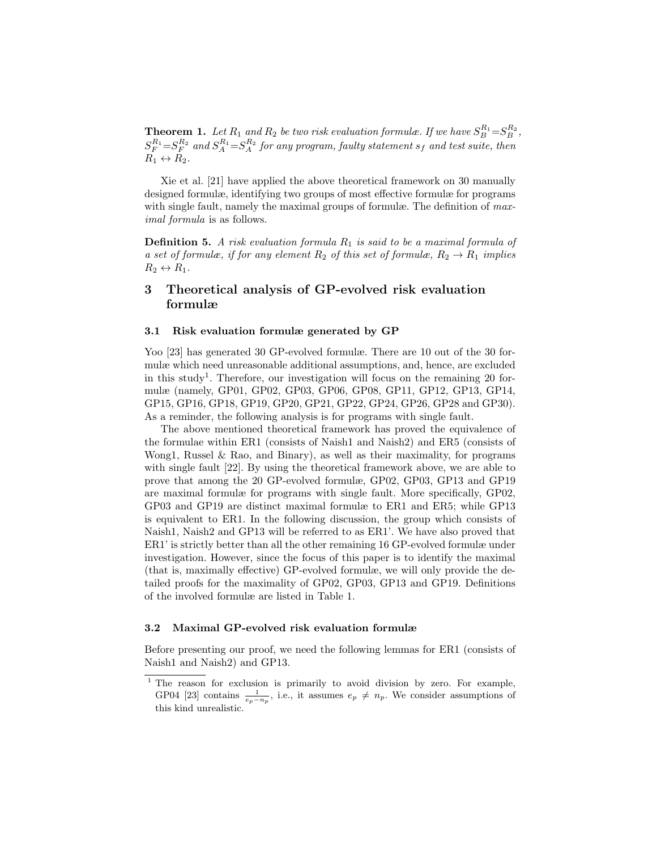**Theorem 1.** Let  $R_1$  and  $R_2$  be two risk evaluation formulæ. If we have  $S_B^{R_1} = S_B^{R_2}$ ,  $S_{F}^{R_{1}}\!\!=\!\!S_{F}^{R_{2}}\;$  and  $S_{A}^{R_{1}}\!\!=\!\!S_{A}^{R_{2}}$  for any program, faulty statement  $s_{f}$  and test suite, then  $R_1 \leftrightarrow R_2$ .

Xie et al. [21] have applied the above theoretical framework on 30 manually designed formulæ, identifying two groups of most effective formulæ for programs with single fault, namely the maximal groups of formulæ. The definition of maximal formula is as follows.

**Definition 5.** A risk evaluation formula  $R_1$  is said to be a maximal formula of a set of formulæ, if for any element  $R_2$  of this set of formulæ,  $R_2 \rightarrow R_1$  implies  $R_2 \leftrightarrow R_1$ .

# 3 Theoretical analysis of GP-evolved risk evaluation formulæ

#### 3.1 Risk evaluation formulæ generated by GP

Yoo [23] has generated 30 GP-evolved formulæ. There are 10 out of the 30 formulæ which need unreasonable additional assumptions, and, hence, are excluded in this study<sup>1</sup>. Therefore, our investigation will focus on the remaining 20 formulæ (namely, GP01, GP02, GP03, GP06, GP08, GP11, GP12, GP13, GP14, GP15, GP16, GP18, GP19, GP20, GP21, GP22, GP24, GP26, GP28 and GP30). As a reminder, the following analysis is for programs with single fault.

The above mentioned theoretical framework has proved the equivalence of the formulae within ER1 (consists of Naish1 and Naish2) and ER5 (consists of Wong1, Russel & Rao, and Binary), as well as their maximality, for programs with single fault [22]. By using the theoretical framework above, we are able to prove that among the 20 GP-evolved formulæ, GP02, GP03, GP13 and GP19 are maximal formulæ for programs with single fault. More specifically, GP02, GP03 and GP19 are distinct maximal formulæ to ER1 and ER5; while GP13 is equivalent to ER1. In the following discussion, the group which consists of Naish1, Naish2 and GP13 will be referred to as ER1'. We have also proved that ER1' is strictly better than all the other remaining 16 GP-evolved formulæ under investigation. However, since the focus of this paper is to identify the maximal (that is, maximally effective) GP-evolved formulæ, we will only provide the detailed proofs for the maximality of GP02, GP03, GP13 and GP19. Definitions of the involved formulæ are listed in Table 1.

#### 3.2 Maximal GP-evolved risk evaluation formulæ

Before presenting our proof, we need the following lemmas for ER1 (consists of Naish1 and Naish2) and GP13.

<sup>&</sup>lt;sup>1</sup> The reason for exclusion is primarily to avoid division by zero. For example, GP04 [23] contains  $\frac{1}{e_p - n_p}$ , i.e., it assumes  $e_p \neq n_p$ . We consider assumptions of this kind unrealistic.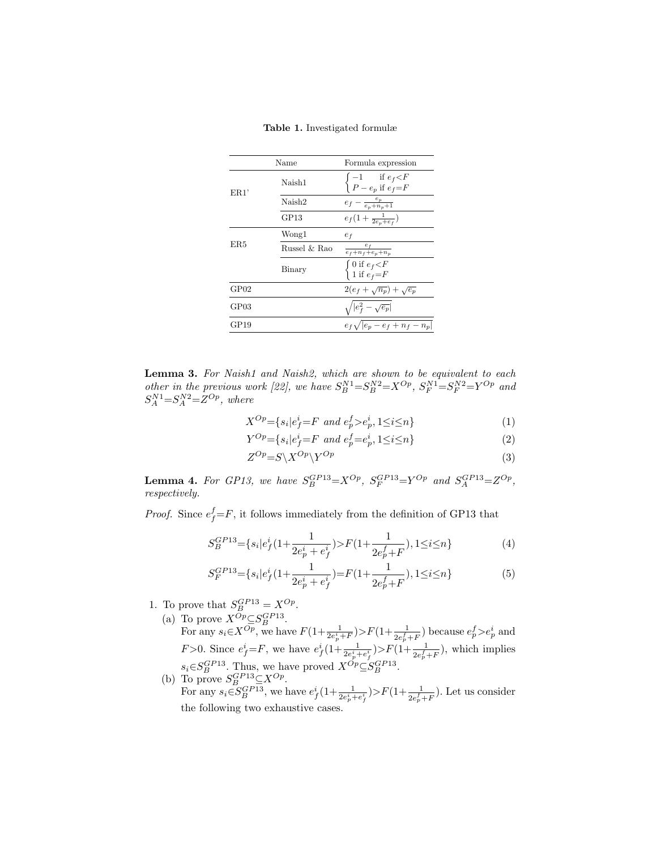| Name |              | Formula expression                                                                                             |  |
|------|--------------|----------------------------------------------------------------------------------------------------------------|--|
| ER1' | Naish1       | $\left\{ \begin{array}{ll} -1 & \mbox{if $e_f$} <\!\!F \\ P-e_p \mbox{ if $e_f$} \!=\!\!F \end{array} \right.$ |  |
|      | Naish2       | $e_f - \frac{e_p}{e_p + n_p + 1}$                                                                              |  |
|      | GP13         | $e_f(1+\frac{1}{2e_p+e_f})$                                                                                    |  |
| ER5  | Wong1        | $e_f$                                                                                                          |  |
|      | Russel & Rao | $\frac{1}{e_f + n_f + e_p + n_p}$                                                                              |  |
|      | Binary       | $\begin{cases} 0 \text{ if } e_f \leq F \\ 1 \text{ if } e_f = F \end{cases}$                                  |  |
| GPO2 |              | $2(e_f+\sqrt{n_p})+\sqrt{e_p}$                                                                                 |  |
| GPO3 |              | $\sqrt{ e_f^2 - \sqrt{e_p} }$                                                                                  |  |
| GP19 |              | $e_f\sqrt{ e_p-e_f+n_f-n_p }$                                                                                  |  |

Table 1. Investigated formulæ

Lemma 3. For Naish1 and Naish2, which are shown to be equivalent to each other in the previous work [22], we have  $S_B^{N1} = S_B^{N2} = X^{Op}$ ,  $S_F^{N1} = S_F^{N2} = Y^{Op}$  and  $S_A^{N1}=S_A^{N2}=Z^{Op}$ , where

$$
X^{Op} = \{ s_i | e_f^i = F \text{ and } e_p^f > e_p^i, 1 \le i \le n \}
$$
 (1)

$$
Y^{Op} = \{ s_i | e_f^i = F \text{ and } e_p^f = e_p^i, 1 \le i \le n \}
$$
\n
$$
(2)
$$

$$
Z^{Op} = S \backslash X^{Op} \backslash Y^{Op} \tag{3}
$$

**Lemma 4.** For GP13, we have  $S_B^{GP13} = X^{Op}$ ,  $S_F^{GP13} = Y^{Op}$  and  $S_A^{GP13} = Z^{Op}$ , respectively.

*Proof.* Since  $e_f^f = F$ , it follows immediately from the definition of GP13 that

$$
S_B^{GP13} = \{ s_i | e_f^i (1 + \frac{1}{2e_p^i + e_f^i}) \rangle F(1 + \frac{1}{2e_p^f + F}), 1 \le i \le n \}
$$
 (4)

$$
S_F^{GP13} = \{ s_i | e_f^i (1 + \frac{1}{2e_p^i + e_f^i}) = F(1 + \frac{1}{2e_p^f + F}), 1 \le i \le n \}
$$
 (5)

1. To prove that  $S_B^{GP13} = X^{Op}$ .

(a) To prove  $X^{Op} \subseteq S_B^{GP13}$ . For any  $s_i \in X^{Op}$ , we have  $F(1+\frac{1}{2e_p^i+F}) > F(1+\frac{1}{2e_p^f+F})$  because  $e_p^f > e_p^i$  and F>0. Since  $e_f^i = F$ , we have  $e_f^i(1 + \frac{1}{2e_p^i + e_f^i}) > F(1 + \frac{1}{2e_p^f + F})$ , which implies  $s_i \in S_B^{GP13}$ . Thus, we have proved  $X^{Op} \subseteq S_B^{GP13}$ .

(b) To prove  $S_B^{GP13} \subseteq X^{Op}$ . For any  $s_i \in S_B^{GP13}$ , we have  $e_f^i(1+\frac{1}{2e_p^i+e_f^i}) > F(1+\frac{1}{2e_p^f+F})$ . Let us consider the following two exhaustive cases.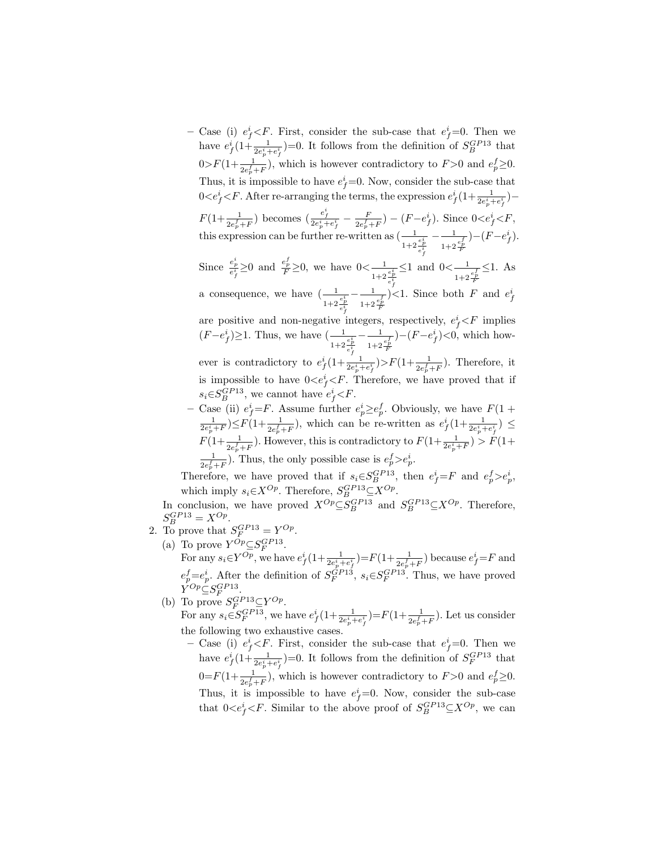- Case (i)  $e_f^i$  < F. First, consider the sub-case that  $e_f^i$  = 0. Then we have  $e_f^i(1+\frac{1}{2e_p^i+e_f^i})=0$ . It follows from the definition of  $S_B^{GPI3}$  that  $0>F(1+\frac{1}{2e_p^f+F}),$  which is however contradictory to  $F>0$  and  $e_p^f\geq 0$ . Thus, it is impossible to have  $e_f^i=0$ . Now, consider the sub-case that 0<eightlefrace of the terms, the expression  $e_f^i(1+\frac{1}{2e_p^i+e_f^i})$  –  $F(1+\frac{1}{2e_p^f+F})$  becomes  $(\frac{e_f^i}{2e_p^i+e_f^i} - \frac{F}{2e_p^f})$  $\frac{F}{2e_p^f + F}$ ) –  $(F - e_f^i)$ . Since  $0 < e_f^i < F$ , this expression can be further re-written as  $\left(\frac{1}{1+2\frac{e_{\rho}^i}{z^i}}\right)$  $e_f^i$   $x \rightarrow F$  $-\frac{1}{1}$  $\frac{1}{1+2\frac{e_p^f}{F}}$ ) –  $(F-e_f^i)$ . Since  $\frac{e_p^i}{e_f^i} \geq 0$  and  $\frac{e_p^f}{F} \geq 0$ , we have  $0 < \frac{1}{1+2}$  $\overline{1+2\frac{e_p^i}{e_f^i}}$  $\leq 1$  and  $0 < \frac{1}{1}$  $1+2\frac{ef}{F}$ ≤1. As a consequence, we have  $\left(\frac{1}{1+2\frac{e^i_p}{e^i_f}}\right)$  $-\frac{1}{1}$  $\frac{e_{p}^{f}}{1+2\frac{e_{p}^{f}}{F}}$  $\geq 1$ . Since both F and  $e_f^i$ are positive and non-negative integers, respectively,  $e_f^i \ll F$  implies  $(F-e_f^i)$ ≥1. Thus, we have  $\left(\frac{1}{1+2\frac{e_f^i}{e_f^i}}\right)$  $-\frac{1}{1}$  $1+2\frac{ef}{F}$  $(-F - e_f^i)$ <0, which how-

ever is contradictory to  $e_f^i(1+\frac{1}{2e_p^i+e_f^i})>F(1+\frac{1}{2e_p^f+F})$ . Therefore, it is impossible to have  $0 < e_f^i < F$ . Therefore, we have proved that if  $s_i \in S_B^{GP13}$ , we cannot have  $e_f^i \lt F$ .

- Case (ii)  $e_f^i = F$ . Assume further  $e_p^i \geq e_p^f$ . Obviously, we have  $F(1 +$  $\frac{1}{2e_p^i+F}$ ) $\leq F(1+\frac{1}{2e_p^f+F})$ , which can be re-written as  $e_f^i(1+\frac{1}{2e_p^i+e_f^i}) \leq$  $F(1+\frac{1}{2e_p^j+F})$ . However, this is contradictory to  $F(1+\frac{1}{2e_p^i+F}) > F(1+\frac{1}{2e_p^j+F})$ 1  $\frac{1}{2e_p^f+F}$ ). Thus, the only possible case is  $e_p^f > e_p^i$ .

Therefore, we have proved that if  $s_i \in S_B^{GP13}$ , then  $e_f^i = F$  and  $e_p^f > e_p^i$ , which imply  $s_i \in X^{Op}$ . Therefore,  $S_B^{GP13} \subseteq X^{Op}$ .

In conclusion, we have proved  $X^{Op} \subseteq S_B^{GP13}$  and  $S_B^{GP13} \subseteq X^{Op}$ . Therefore,  $S_B^{GP13} = X^{Op}.$ 

- 2. To prove that  $S_F^{GP13} = Y^{Op}$ .
	- (a) To prove  $Y^{Op} \subseteq S_F^{GP13}$ F .

For any  $s_i \in Y^{Op}$ , we have  $e^i_f(1+\frac{1}{2e^i_p+e^i_f})=F(1+\frac{1}{2e^f_p+F})$  because  $e^i_f=F$  and  $e_p^f = e_p^i$ . After the definition of  $S_F^{GP13}$ ,  $s_i \in S_F^{GP13}$ . Thus, we have proved  $Y^{Op} \subseteq S_F^{GP13}$ .

- (b) To prove  $S_F^{GP13} \subseteq Y^{Op}$ . For any  $s_i \in S_F^{GP13}$ , we have  $e_f^i(1+\frac{1}{2e_p^i+e_f^i})=F(1+\frac{1}{2e_p^f+F})$ . Let us consider the following two exhaustive cases.
	- Case (i)  $e_f^i \lt F$ . First, consider the sub-case that  $e_f^i = 0$ . Then we have  $e_f^i(1+\frac{1}{2e_p^i+e_f^i})=0$ . It follows from the definition of  $S_F^{GPI3}$  that  $0=F(1+\frac{1}{2e_p^f+F}),$  which is however contradictory to  $F>0$  and  $e_p^f\geq 0$ . Thus, it is impossible to have  $e_f^i=0$ . Now, consider the sub-case that  $0 < e_f^i < F$ . Similar to the above proof of  $S_B^{GP13} \subseteq X^{Op}$ , we can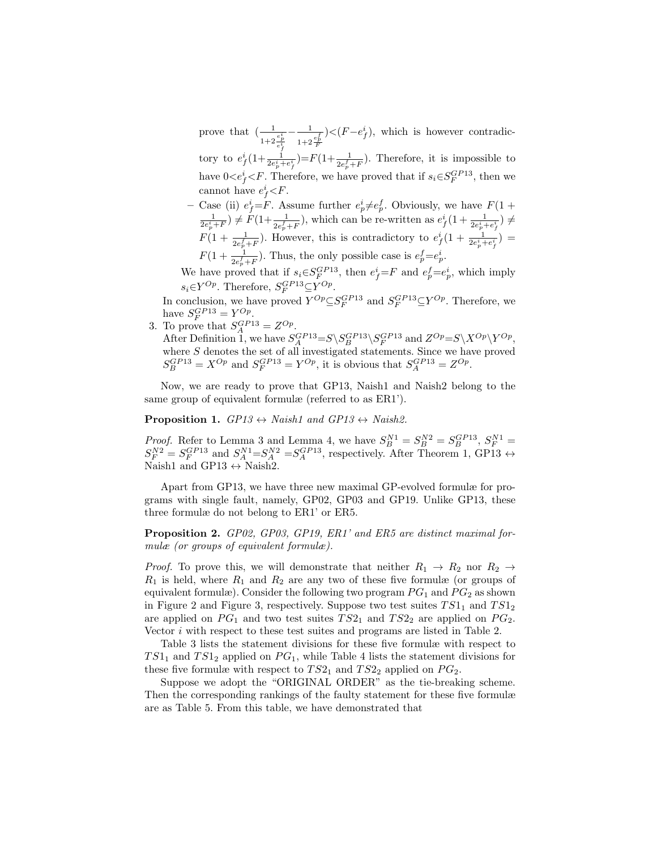prove that  $\left(\frac{1}{1+2\frac{e_p^i}{e_x^i}}\right)$  $-\frac{1}{1}$  $\frac{e^f_p}{1+2\frac{e^f_p}{F}}$  $\langle (F - e_f^i)$ , which is however contradic-

tory to  $e^i_f(1+\frac{1}{2e^i_p+e^i_f})=F(1+\frac{1}{2e^f_p+F}).$  Therefore, it is impossible to have  $0 < e_f^i < F$ . Therefore, we have proved that if  $s_i \in S_F^{GP13}$ , then we cannot have  $e_f^i \langle F$ .

- Case (ii)  $e_f^i = F$ . Assume further  $e_p^i \neq e_p^f$ . Obviously, we have  $F(1 +$  $\frac{1}{2e_p^i+F}$   $\neq$   $F(1+\frac{1}{2e_p^f+F})$ , which can be re-written as  $e_f^i(1+\frac{1}{2e_p^i+e_f^i}) \neq$  $F(1+\frac{1}{2e_p^f+F})$ . However, this is contradictory to  $e_f^i(1+\frac{1}{2e_p^i+e_f^i})=$  $F(1+\frac{1}{2e_p^f+F})$ . Thus, the only possible case is  $e_p^f=e_p^i$ .

We have proved that if  $s_i \in S_F^{GP13}$ , then  $e_j^i = F$  and  $e_p^f = e_p^i$ , which imply  $s_i \in Y^{Op}$ . Therefore,  $S_F^{GP13} \subseteq Y^{Op}$ .

In conclusion, we have proved  $Y^{Op} \subseteq S_F^{GP13}$  and  $S_F^{GP13} \subseteq Y^{Op}$ . Therefore, we have  $S_F^{GP13} = Y^{Op}$ .

3. To prove that  $S_A^{GP13} = Z^{Op}$ .

After Definition 1, we have  $S_A^{GP13} = S \setminus S_B^{GP13} \setminus S_F^{GP13}$  and  $Z^{Op} = S \setminus X^{Op} \setminus Y^{Op}$ , where S denotes the set of all investigated statements. Since we have proved  $S_B^{GP13} = X^{Op}$  and  $S_F^{GP13} = Y^{Op}$ , it is obvious that  $S_A^{GP13} = Z^{Op}$ .

Now, we are ready to prove that GP13, Naish1 and Naish2 belong to the same group of equivalent formulæ (referred to as ER1').

**Proposition 1.**  $GPI3 \leftrightarrow Naish1$  and  $GPI3 \leftrightarrow Naish2$ .

*Proof.* Refer to Lemma 3 and Lemma 4, we have  $S_B^{N1} = S_B^{N2} = S_B^{GPI3}$ ,  $S_F^{N1} =$  $S_F^{N2} = S_F^{GPI3}$  and  $S_A^{N1} = S_A^{N2} = S_A^{GPI3}$ , respectively. After Theorem 1, GP13  $\leftrightarrow$ Naish1 and GP13  $\leftrightarrow$  Naish2.

Apart from GP13, we have three new maximal GP-evolved formulæ for programs with single fault, namely, GP02, GP03 and GP19. Unlike GP13, these three formulæ do not belong to ER1' or ER5.

Proposition 2. GP02, GP03, GP19, ER1' and ER5 are distinct maximal formulæ (or groups of equivalent formulæ).

*Proof.* To prove this, we will demonstrate that neither  $R_1 \rightarrow R_2$  nor  $R_2 \rightarrow$  $R_1$  is held, where  $R_1$  and  $R_2$  are any two of these five formulæ (or groups of equivalent formulæ). Consider the following two program  $PG_1$  and  $PG_2$  as shown in Figure 2 and Figure 3, respectively. Suppose two test suites  $TS1_1$  and  $TS1_2$ are applied on  $PG_1$  and two test suites  $TS2_1$  and  $TS2_2$  are applied on  $PG_2$ . Vector i with respect to these test suites and programs are listed in Table 2.

Table 3 lists the statement divisions for these five formulæ with respect to  $TS1<sub>1</sub>$  and  $TS1<sub>2</sub>$  applied on  $PG<sub>1</sub>$ , while Table 4 lists the statement divisions for these five formulæ with respect to  $TS2_1$  and  $TS2_2$  applied on  $PG_2$ .

Suppose we adopt the "ORIGINAL ORDER" as the tie-breaking scheme. Then the corresponding rankings of the faulty statement for these five formulæ are as Table 5. From this table, we have demonstrated that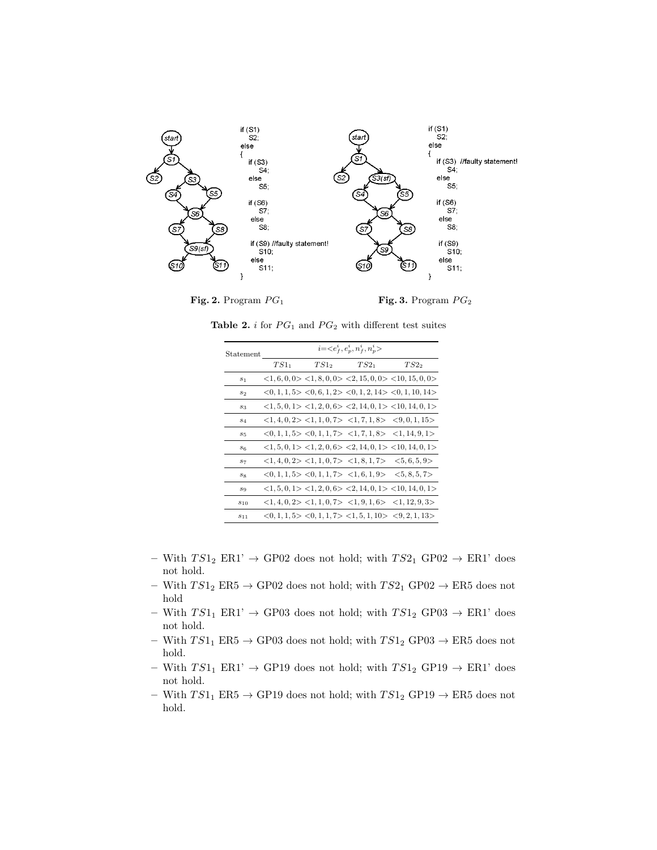



Table 2. *i* for  $PG_1$  and  $PG_2$  with different test suites

| Statement      | $i = <\!e_f^i, e_p^i, n_f^i, n_p^i>$ |                  |         |                                                                                                                |
|----------------|--------------------------------------|------------------|---------|----------------------------------------------------------------------------------------------------------------|
|                | $TS1_1$                              | TS1 <sub>2</sub> | $TS2_1$ | TS2 <sub>2</sub>                                                                                               |
| $s_1$          |                                      |                  |         | $<1, 6, 0, 0>1, 8, 0, 0>2, 15, 0, 0>10, 15, 0, 0>$                                                             |
| s <sub>2</sub> |                                      |                  |         | $<0, 1, 1, 5>$ $<0, 6, 1, 2>$ $<0, 1, 2, 14>$ $<0, 1, 10, 14>$                                                 |
| $s_3$          |                                      |                  |         | $<1, 5, 0, 1>1, 2, 0, 6>1, 14, 0, 1>10, 14, 0, 1>$                                                             |
| S <sub>4</sub> |                                      |                  |         | $<1, 4, 0, 2>1, 1, 0, 7>1, 7, 1, 8>1, 0, 1, 15>$                                                               |
| $s_5$          |                                      |                  |         | $<0, 1, 1, 5>$ $<0, 1, 1, 7>$ $<1, 7, 1, 8>$ $<1, 14, 9, 1>$                                                   |
| S6             |                                      |                  |         | $<1, 5, 0, 1>1, 2, 0, 6>1, 14, 0, 1>10, 14, 0, 1>$                                                             |
| $s_7$          |                                      |                  |         | $<1, 4, 0, 2>1, 1, 0, 7>1, 8, 1, 7>1, 6, 5, 9>$                                                                |
| $s_8$          |                                      |                  |         | $<0, 1, 1, 5>$ $<0, 1, 1, 7>$ $<1, 6, 1, 9>$ $<5, 8, 5, 7>$                                                    |
| $s_9$          |                                      |                  |         | $<1, 5, 0, 1>1, 2, 0, 6>1, 2, 14, 0, 1>10, 14, 0, 1>$                                                          |
| $s_{10}$       |                                      |                  |         | $\langle 1, 4, 0, 2 \rangle \langle 1, 1, 0, 7 \rangle \langle 1, 9, 1, 6 \rangle \langle 1, 12, 9, 3 \rangle$ |
| $s_{11}$       |                                      |                  |         | $<0, 1, 1, 5>$ $<0, 1, 1, 7>$ $<1, 5, 1, 10>$ $<9, 2, 1, 13>$                                                  |

- With  $TS1_2$  ER1'  $\rightarrow$  GP02 does not hold; with  $TS2_1$  GP02  $\rightarrow$  ER1' does not hold.
- With  $TS1_2$  ER5 → GP02 does not hold; with  $TS2_1$  GP02 → ER5 does not hold
- With  $TS1_1$  ER1'  $\rightarrow$  GP03 does not hold; with  $TS1_2$  GP03  $\rightarrow$  ER1' does not hold.
- With  $TS1_1$  ER5  $\rightarrow$  GP03 does not hold; with  $TS1_2$  GP03  $\rightarrow$  ER5 does not hold.
- With  $TS1_1$  ER1'  $\rightarrow$  GP19 does not hold; with  $TS1_2$  GP19  $\rightarrow$  ER1' does not hold.
- With  $TS1_1$  ER5  $\rightarrow$  GP19 does not hold; with  $TS1_2$  GP19  $\rightarrow$  ER5 does not hold.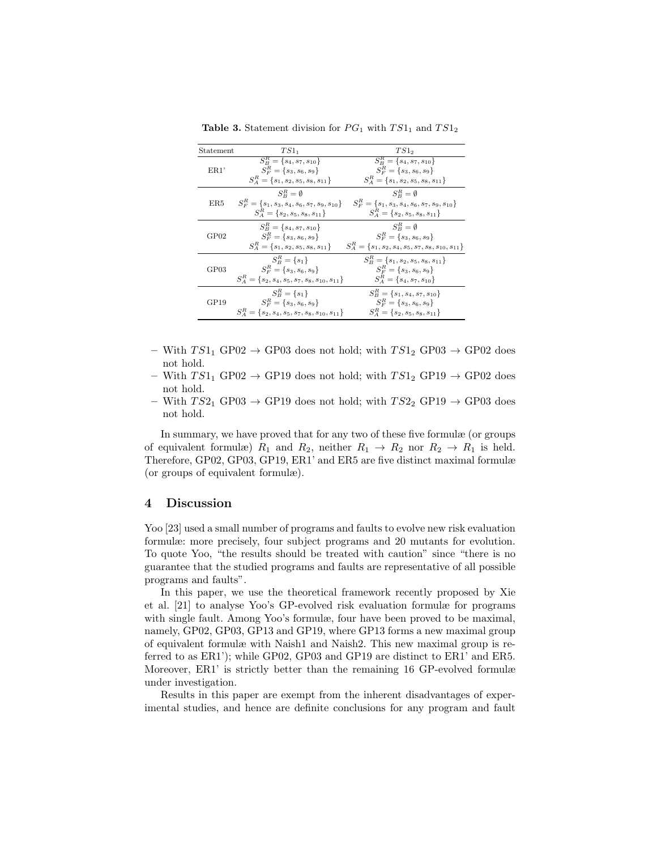**Table 3.** Statement division for  $PG_1$  with  $TS1_1$  and  $TS1_2$ 

| Statement        | $TS1_1$                                                | $TS1_2$                                                     |
|------------------|--------------------------------------------------------|-------------------------------------------------------------|
|                  | $S_R^R = \{s_4, s_7, s_{10}\}\$                        | $S_R^R = \{s_4, s_7, s_{10}\}\$                             |
| ER1'             | $S_F^R = \{s_3, s_6, s_9\}$                            | $S_F^R = \{s_3, s_6, s_9\}$                                 |
|                  | $S_A^R = \{s_1, s_2, s_5, s_8, s_{11}\}\$              | $S_A^R = \{s_1, s_2, s_5, s_8, s_{11}\}\$                   |
|                  | $S_P^R = \emptyset$                                    | $S_P^R = \emptyset$                                         |
| ER5              | $S_F^R = \{s_1, s_3, s_4, s_6, s_7, s_9, s_{10}\}\$    | $S_F^R = \{s_1, s_3, s_4, s_6, s_7, s_9, s_{10}\}\$         |
|                  | $S_A^R = \{s_2, s_5, s_8, s_{11}\}\$                   | $S_A^R = \{s_2, s_5, s_8, s_{11}\}\$                        |
|                  | $S_R^R = \{s_4, s_7, s_{10}\}\$                        | $S_P^R = \emptyset$                                         |
| GP02             | $S_F^R = \{s_3, s_6, s_9\}$                            | $S_F^R = \{s_3, s_6, s_9\}$                                 |
|                  | $S_A^R = \{s_1, s_2, s_5, s_8, s_{11}\}\$              | $S_A^R = \{s_1, s_2, s_4, s_5, s_7, s_8, s_{10}, s_{11}\}\$ |
|                  | $S_B^R = \{s_1\}$                                      | $S_R^R = \{s_1, s_2, s_5, s_8, s_{11}\}\$                   |
| GP <sub>03</sub> | $S_F^R = \{s_3, s_6, s_9\}$                            | $S_F^R = \{s_3, s_6, s_9\}$                                 |
|                  | $S_A^R = \{s_2, s_4, s_5, s_7, s_8, s_{10}, s_{11}\}\$ | $S_A^R = \{s_4, s_7, s_{10}\}\$                             |
|                  | $S_B^R = \{s_1\}$                                      | $S_B^R = \{s_1, s_4, s_7, s_{10}\}\$                        |
| GP <sub>19</sub> | $S_F^R = \{s_3, s_6, s_9\}$                            | $S_F^R = \{s_3, s_6, s_9\}$                                 |
|                  | $S_A^R = \{s_2, s_4, s_5, s_7, s_8, s_{10}, s_{11}\}\$ | $S_A^R = \{s_2, s_5, s_8, s_{11}\}\$                        |

- With  $TS1_1$  GP02  $\rightarrow$  GP03 does not hold; with  $TS1_2$  GP03  $\rightarrow$  GP02 does not hold.
- With  $TS1_1$  GP02  $\rightarrow$  GP19 does not hold; with  $TS1_2$  GP19  $\rightarrow$  GP02 does not hold.
- With  $TS2_1$  GP03  $\rightarrow$  GP19 does not hold; with  $TS2_2$  GP19  $\rightarrow$  GP03 does not hold.

In summary, we have proved that for any two of these five formulæ (or groups of equivalent formulæ)  $R_1$  and  $R_2$ , neither  $R_1 \rightarrow R_2$  nor  $R_2 \rightarrow R_1$  is held. Therefore, GP02, GP03, GP19, ER1' and ER5 are five distinct maximal formulæ (or groups of equivalent formulæ).

## 4 Discussion

Yoo [23] used a small number of programs and faults to evolve new risk evaluation formulæ: more precisely, four subject programs and 20 mutants for evolution. To quote Yoo, "the results should be treated with caution" since "there is no guarantee that the studied programs and faults are representative of all possible programs and faults".

In this paper, we use the theoretical framework recently proposed by Xie et al. [21] to analyse Yoo's GP-evolved risk evaluation formulæ for programs with single fault. Among Yoo's formulæ, four have been proved to be maximal, namely, GP02, GP03, GP13 and GP19, where GP13 forms a new maximal group of equivalent formulæ with Naish1 and Naish2. This new maximal group is referred to as ER1'); while GP02, GP03 and GP19 are distinct to ER1' and ER5. Moreover, ER1' is strictly better than the remaining 16 GP-evolved formulæ under investigation.

Results in this paper are exempt from the inherent disadvantages of experimental studies, and hence are definite conclusions for any program and fault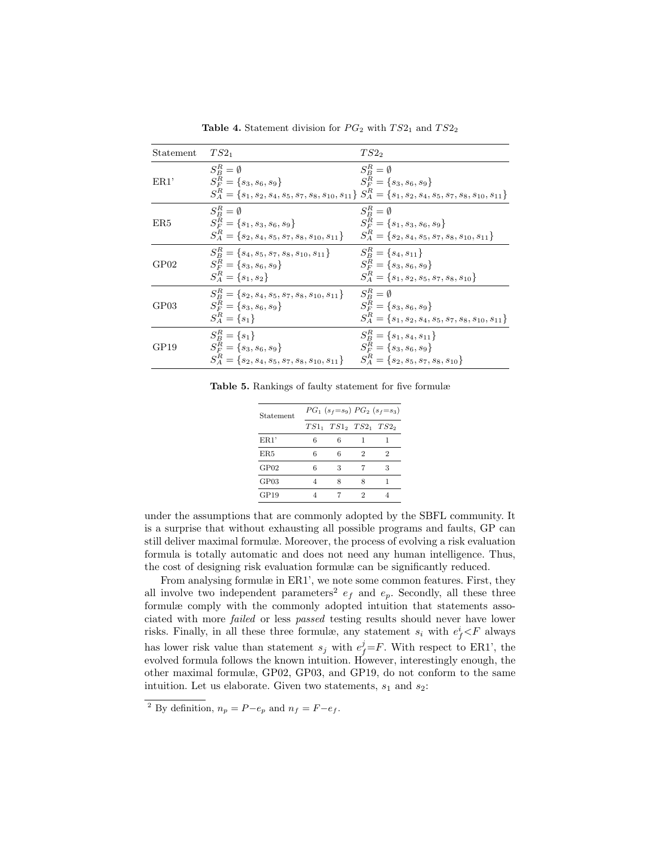| Statement        | $TS2_1$                                                                                                                                              | $TS2_2$                                                                                                                                                                     |
|------------------|------------------------------------------------------------------------------------------------------------------------------------------------------|-----------------------------------------------------------------------------------------------------------------------------------------------------------------------------|
| ER1'             | $S^R_B = \emptyset$<br>$S_F^R = \{s_3, s_6, s_9\}$                                                                                                   | $S_P^R = \emptyset$<br>$S_F^R = \{s_3, s_6, s_9\}$<br>$S_A^R = \{s_1, s_2, s_4, s_5, s_7, s_8, s_{10}, s_{11}\}$ $S_A^R = \{s_1, s_2, s_4, s_5, s_7, s_8, s_{10}, s_{11}\}$ |
| $_{\rm ER5}$     | $S_P^R = \emptyset$<br>$S_F^R = \{s_1, s_3, s_6, s_9\}$<br>$S_A^R = \{s_2, s_4, s_5, s_7, s_8, s_{10}, s_{11}\}\$                                    | $S_P^R = \emptyset$<br>$S_F^R = \{s_1, s_3, s_6, s_9\}$<br>$S_A^R = \{s_2, s_4, s_5, s_7, s_8, s_{10}, s_{11}\}\$                                                           |
| GPO2             | $S_R^R = \{s_4, s_5, s_7, s_8, s_{10}, s_{11}\}\$<br>$S_F^R = \{s_3, s_6, s_9\}$<br>$S_A^R = \{s_1, s_2\}$                                           | $S_B^R = \{s_4, s_{11}\}\$<br>$S_F^R = \{s_3, s_6, s_9\}$<br>$S_A^R = \{s_1, s_2, s_5, s_7, s_8, s_{10}\}\$                                                                 |
| GP03             | $S_R^R = \{s_2, s_4, s_5, s_7, s_8, s_{10}, s_{11}\}\$<br>$S_F^R = \{s_3, s_6, s_9\}$<br>$S_A^R = \{s_1\}$                                           | $S_P^R = \emptyset$<br>$S_F^R = \{s_3, s_6, s_9\}$<br>$S_A^R = \{s_1, s_2, s_4, s_5, s_7, s_8, s_{10}, s_{11}\}\$                                                           |
| GP <sub>19</sub> | $S_R^R = \{s_1\}$<br>$S_F^R = \{s_3, s_6, s_9\}$<br>$S_A^R = \{s_2, s_4, s_5, s_7, s_8, s_{10}, s_{11}\}\$ $S_A^R = \{s_2, s_5, s_7, s_8, s_{10}\}\$ | $S_R^R = \{s_1, s_4, s_{11}\}\$<br>$S_F^R = \{s_3, s_6, s_9\}$                                                                                                              |

**Table 4.** Statement division for  $PG_2$  with  $TS2_1$  and  $TS2_2$ 

Table 5. Rankings of faulty statement for five formulæ

| Statement | $PG_1(s_f=s_9)$ $PG_2(s_f=s_3)$ |                                 |   |   |
|-----------|---------------------------------|---------------------------------|---|---|
|           |                                 | $TS1_1$ $TS1_2$ $TS2_1$ $TS2_2$ |   |   |
| ER1'      |                                 |                                 |   |   |
| ER5       | б                               | 6                               | 2 | 2 |
| GP02      | б                               | 3                               |   | 3 |
| GP03      |                                 | 8                               | 8 |   |
| GP19      |                                 |                                 | 2 |   |

under the assumptions that are commonly adopted by the SBFL community. It is a surprise that without exhausting all possible programs and faults, GP can still deliver maximal formulæ. Moreover, the process of evolving a risk evaluation formula is totally automatic and does not need any human intelligence. Thus, the cost of designing risk evaluation formulæ can be significantly reduced.

From analysing formulæ in ER1', we note some common features. First, they all involve two independent parameters<sup>2</sup>  $e_f$  and  $e_p$ . Secondly, all these three formulæ comply with the commonly adopted intuition that statements associated with more failed or less passed testing results should never have lower risks. Finally, in all these three formulæ, any statement  $s_i$  with  $e_f^i \leq F$  always has lower risk value than statement  $s_j$  with  $e_j^j = F$ . With respect to ER1', the evolved formula follows the known intuition. However, interestingly enough, the other maximal formulæ, GP02, GP03, and GP19, do not conform to the same intuition. Let us elaborate. Given two statements,  $s_1$  and  $s_2$ :

<sup>&</sup>lt;sup>2</sup> By definition,  $n_p = P - e_p$  and  $n_f = F - e_f$ .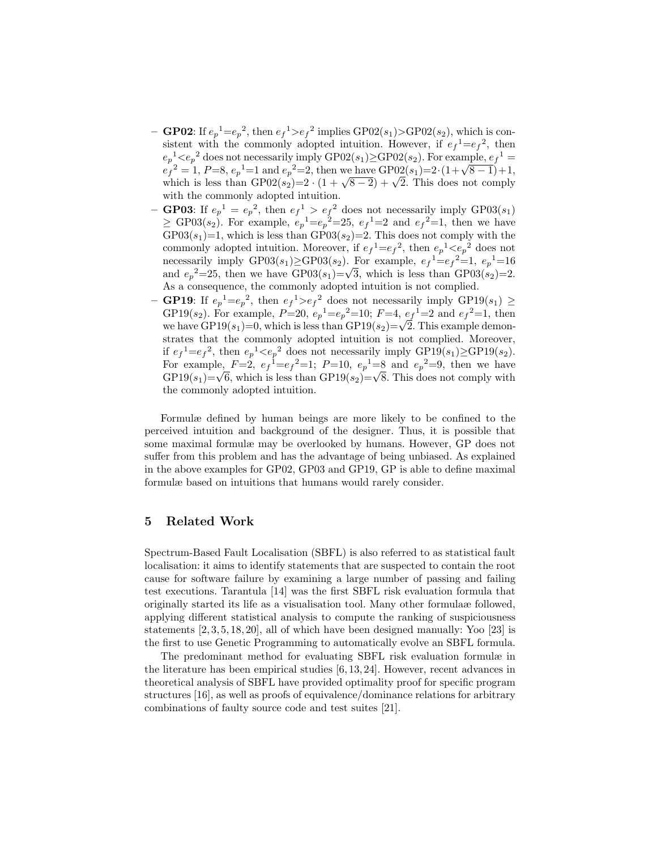- GP02: If  $e_p^{-1} = e_p^{-2}$ , then  $e_f^{-1} > e_f^{-2}$  implies GP02(s<sub>1</sub>)>GP02(s<sub>2</sub>), which is consistent with the commonly adopted intuition. However, if  $e_f{}^1 = e_f{}^2$ , then  $e_p^{-1}$ < $e_p^{-2}$  does not necessarily imply GP02( $s_1$ )≥GP02( $s_2$ ). For example,  $e_f^{-1}$  =  $e_p^2 = e_f^2 = 1$ ,  $P=8$ ,  $e_p^{-1}=1$  and  $e_p^2=2$ , then we have  $GPO2(s_1)=2 \cdot (1+\sqrt{8-1})+1$ , which is less than  $GPO2(s_2)=2 \cdot (1+\sqrt{8-2})+\sqrt{2}$ . This does not comply with the commonly adopted intuition.
- GP03: If  $e_p^1 = e_p^2$ , then  $e_f^1 > e_f^2$  does not necessarily imply GP03( $s_1$ )  $\geq$  GP03(s<sub>2</sub>). For example,  $e_p^{-1}=e_p^{-2}=25$ ,  $e_f^{-1}=2$  and  $e_f^{-2}=1$ , then we have  $GPO3(s<sub>1</sub>)=1$ , which is less than  $GPO3(s<sub>2</sub>)=2$ . This does not comply with the commonly adopted intuition. Moreover, if  $e_f{}^1 = e_f{}^2$ , then  $e_p{}^1 < e_p{}^2$  does not necessarily imply  $GPO3(s_1) \geq GPO3(s_2)$ . For example,  $e_f^{-1} = e_f^{-2} = 1$ ,  $e_p^{-1} = 16$ necessarily imply  $GP03(s_1) \geq GP03(s_2)$ . For example,  $e_f = e_f = 1$ ,  $e_p = 16$ <br>and  $e_p^2 = 25$ , then we have  $GP03(s_1) = \sqrt{3}$ , which is less than  $GP03(s_2) = 2$ . As a consequence, the commonly adopted intuition is not complied.
- GP19: If  $e_p^{-1}=e_p^{-2}$ , then  $e_f^{-1}\geq e_f^{-2}$  does not necessarily imply GP19 $(s_1) \geq$ GP19(s<sub>2</sub>). For example,  $P=20$ ,  $e_p^{-1}=e_p^{-2}=10$ ;  $F=4$ ,  $e_f^{-1}=2$  and  $e_f^{-2}=1$ , then GP19(s<sub>2</sub>). For example,  $P=20$ ,  $e_p = e_p = 10$ ;  $F=4$ ,  $e_f = 2$  and  $e_f = 1$ , then<br>we have GP19(s<sub>1</sub>)=0, which is less than GP19(s<sub>2</sub>)= $\sqrt{2}$ . This example demonstrates that the commonly adopted intuition is not complied. Moreover, if  $e_f^{-1} = e_f^{-2}$ , then  $e_p^{-1} < e_p^{-2}$  does not necessarily imply  $GPI9(s_1) \geq GPI9(s_2)$ . For example,  $F=2$ ,  $e_f{}^1=e_f{}^2=1$ ;  $P=10$ ,  $e_p{}^1=8$  and  $e_p{}^2=9$ , then we have For example,  $F=2$ ,  $e_f = e_f = 1$ ;  $F=10$ ,  $e_p = 8$  and  $e_p = 9$ , then we have GP19( $s_1$ )= $\sqrt{6}$ , which is less than GP19( $s_2$ )= $\sqrt{8}$ . This does not comply with the commonly adopted intuition.

Formulæ defined by human beings are more likely to be confined to the perceived intuition and background of the designer. Thus, it is possible that some maximal formulæ may be overlooked by humans. However, GP does not suffer from this problem and has the advantage of being unbiased. As explained in the above examples for GP02, GP03 and GP19, GP is able to define maximal formulæ based on intuitions that humans would rarely consider.

## 5 Related Work

Spectrum-Based Fault Localisation (SBFL) is also referred to as statistical fault localisation: it aims to identify statements that are suspected to contain the root cause for software failure by examining a large number of passing and failing test executions. Tarantula [14] was the first SBFL risk evaluation formula that originally started its life as a visualisation tool. Many other formulaæ followed, applying different statistical analysis to compute the ranking of suspiciousness statements [2, 3, 5, 18, 20], all of which have been designed manually: Yoo [23] is the first to use Genetic Programming to automatically evolve an SBFL formula.

The predominant method for evaluating SBFL risk evaluation formulæ in the literature has been empirical studies [6, 13, 24]. However, recent advances in theoretical analysis of SBFL have provided optimality proof for specific program structures [16], as well as proofs of equivalence/dominance relations for arbitrary combinations of faulty source code and test suites [21].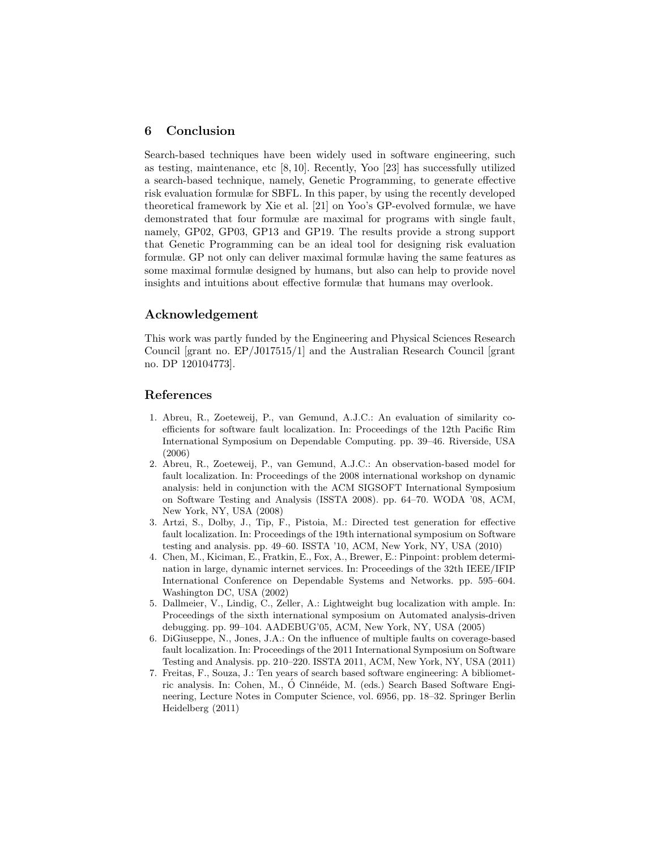## 6 Conclusion

Search-based techniques have been widely used in software engineering, such as testing, maintenance, etc [8, 10]. Recently, Yoo [23] has successfully utilized a search-based technique, namely, Genetic Programming, to generate effective risk evaluation formulæ for SBFL. In this paper, by using the recently developed theoretical framework by Xie et al. [21] on Yoo's GP-evolved formulæ, we have demonstrated that four formulæ are maximal for programs with single fault, namely, GP02, GP03, GP13 and GP19. The results provide a strong support that Genetic Programming can be an ideal tool for designing risk evaluation formulæ. GP not only can deliver maximal formulæ having the same features as some maximal formulæ designed by humans, but also can help to provide novel insights and intuitions about effective formulæ that humans may overlook.

## Acknowledgement

This work was partly funded by the Engineering and Physical Sciences Research Council [grant no. EP/J017515/1] and the Australian Research Council [grant no. DP 120104773].

## References

- 1. Abreu, R., Zoeteweij, P., van Gemund, A.J.C.: An evaluation of similarity coefficients for software fault localization. In: Proceedings of the 12th Pacific Rim International Symposium on Dependable Computing. pp. 39–46. Riverside, USA (2006)
- 2. Abreu, R., Zoeteweij, P., van Gemund, A.J.C.: An observation-based model for fault localization. In: Proceedings of the 2008 international workshop on dynamic analysis: held in conjunction with the ACM SIGSOFT International Symposium on Software Testing and Analysis (ISSTA 2008). pp. 64–70. WODA '08, ACM, New York, NY, USA (2008)
- 3. Artzi, S., Dolby, J., Tip, F., Pistoia, M.: Directed test generation for effective fault localization. In: Proceedings of the 19th international symposium on Software testing and analysis. pp. 49–60. ISSTA '10, ACM, New York, NY, USA (2010)
- 4. Chen, M., Kiciman, E., Fratkin, E., Fox, A., Brewer, E.: Pinpoint: problem determination in large, dynamic internet services. In: Proceedings of the 32th IEEE/IFIP International Conference on Dependable Systems and Networks. pp. 595–604. Washington DC, USA (2002)
- 5. Dallmeier, V., Lindig, C., Zeller, A.: Lightweight bug localization with ample. In: Proceedings of the sixth international symposium on Automated analysis-driven debugging. pp. 99–104. AADEBUG'05, ACM, New York, NY, USA (2005)
- 6. DiGiuseppe, N., Jones, J.A.: On the influence of multiple faults on coverage-based fault localization. In: Proceedings of the 2011 International Symposium on Software Testing and Analysis. pp. 210–220. ISSTA 2011, ACM, New York, NY, USA (2011)
- 7. Freitas, F., Souza, J.: Ten years of search based software engineering: A bibliometric analysis. In: Cohen, M., O Cinnéide, M. (eds.) Search Based Software Engineering, Lecture Notes in Computer Science, vol. 6956, pp. 18–32. Springer Berlin Heidelberg (2011)